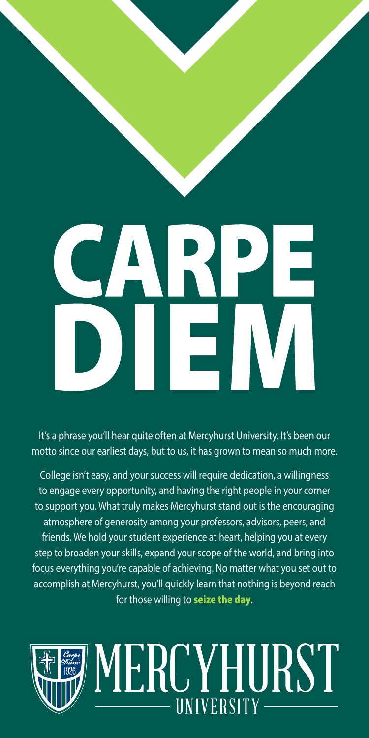# ÷.

It's a phrase you'll hear quite often at Mercyhurst University. It's been our motto since our earliest days, but to us, it has grown to mean so much more.

College isn't easy, and your success will require dedication, a willingness to engage every opportunity, and having the right people in your corner to support you. What truly makes Mercyhurst stand out is the encouraging atmosphere of generosity among your professors, advisors, peers, and friends. We hold your student experience at heart, helping you at every step to broaden your skills, expand your scope of the world, and bring into focus everything you're capable of achieving. No matter what you set out to accomplish at Mercyhurst, you'll quickly learn that nothing is beyond reach for those willing to seize the day.

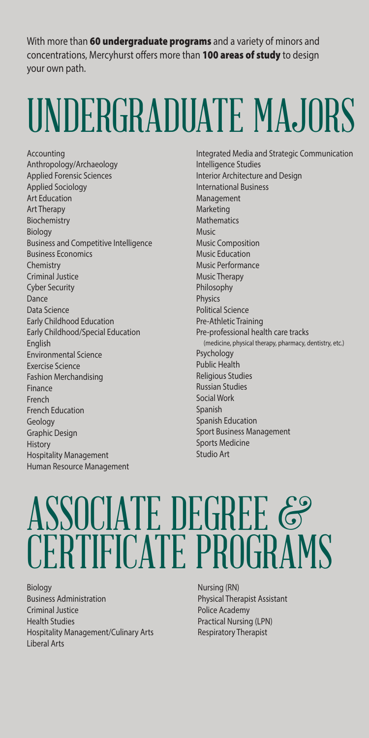With more than 60 undergraduate programs and a variety of minors and concentrations, Mercyhurst offers more than 100 areas of study to design your own path.

### UNDERGRADUATE MAJORS

Accounting Anthropology/Archaeology Applied Forensic Sciences Applied Sociology Art Education Art Therapy Biochemistry Biology Business and Competitive Intelligence Business Economics Chemistry Criminal Justice Cyber Security Dance Data Science Early Childhood Education Early Childhood/Special Education English Environmental Science Exercise Science Fashion Merchandising Finance French French Education Geology Graphic Design **History** Hospitality Management Human Resource Management

Integrated Media and Strategic Communication Intelligence Studies Interior Architecture and Design International Business Management Marketing Mathematics **Music** Music Composition Music Education Music Performance Music Therapy Philosophy Physics Political Science Pre-Athletic Training Pre-professional health care tracks (medicine, physical therapy, pharmacy, dentistry, etc.) Psychology Public Health Religious Studies Russian Studies Social Work Spanish Spanish Education Sport Business Management Sports Medicine Studio Art

#### ASSOCIATE DEGREE & CERTIFICATE PROGRAMS

Biology Business Administration Criminal Justice Health Studies Hospitality Management/Culinary Arts Liberal Arts

Nursing (RN) Physical Therapist Assistant Police Academy Practical Nursing (LPN) Respiratory Therapist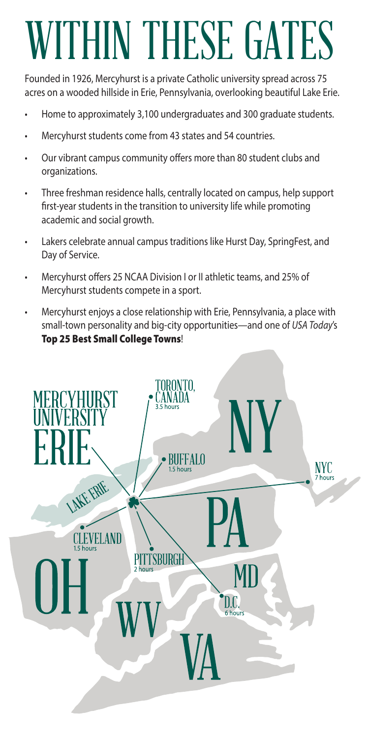# WITHIN THESE GATES

Founded in 1926, Mercyhurst is a private Catholic university spread across 75 acres on a wooded hillside in Erie, Pennsylvania, overlooking beautiful Lake Erie.

- Home to approximately 3,100 undergraduates and 300 graduate students.
- Mercyhurst students come from 43 states and 54 countries.
- Our vibrant campus community offers more than 80 student clubs and organizations.
- Three freshman residence halls, centrally located on campus, help support frst-year students in the transition to university life while promoting academic and social growth.
- Lakers celebrate annual campus traditions like Hurst Day, SpringFest, and Day of Service.
- Mercyhurst offers 25 NCAA Division I or II athletic teams, and 25% of Mercyhurst students compete in a sport.
- Mercyhurst enjoys a close relationship with Erie, Pennsylvania, a place with small-town personality and big-city opportunities—and one of *USA Today*'s Top 25 Best Small College Towns!

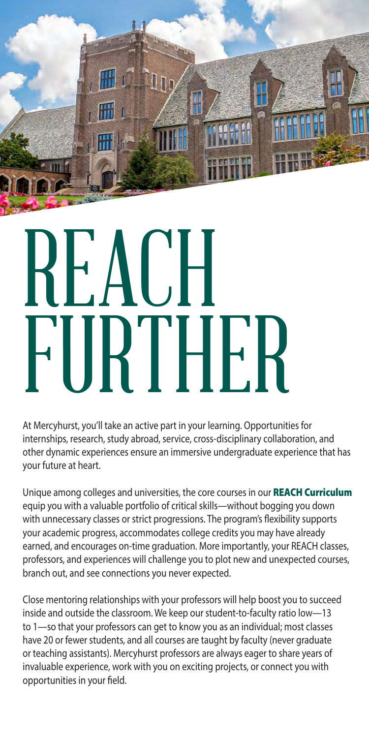

# REACH FURTHER

At Mercyhurst, you'll take an active part in your learning. Opportunities for internships, research, study abroad, service, cross-disciplinary collaboration, and other dynamic experiences ensure an immersive undergraduate experience that has your future at heart.

Unique among colleges and universities, the core courses in our REACH Curriculum equip you with a valuable portfolio of critical skills—without bogging you down with unnecessary classes or strict progressions. The program's flexibility supports your academic progress, accommodates college credits you may have already earned, and encourages on-time graduation. More importantly, your REACH classes, professors, and experiences will challenge you to plot new and unexpected courses, branch out, and see connections you never expected.

Close mentoring relationships with your professors will help boost you to succeed inside and outside the classroom. We keep our student-to-faculty ratio low—13 to 1—so that your professors can get to know you as an individual; most classes have 20 or fewer students, and all courses are taught by faculty (never graduate or teaching assistants). Mercyhurst professors are always eager to share years of invaluable experience, work with you on exciting projects, or connect you with opportunities in your feld.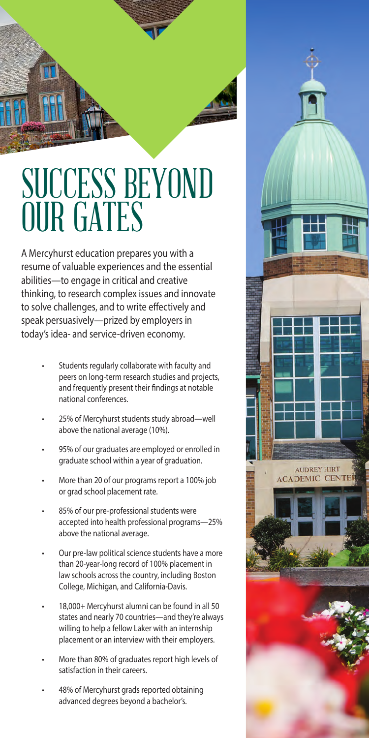

#### SUCCESS BEYOND OUR GATES

A Mercyhurst education prepares you with a resume of valuable experiences and the essential abilities—to engage in critical and creative thinking, to research complex issues and innovate to solve challenges, and to write efectively and speak persuasively—prized by employers in today's idea- and service-driven economy.

- Students regularly collaborate with faculty and peers on long-term research studies and projects, and frequently present their fndings at notable national conferences.
- 25% of Mercyhurst students study abroad—well above the national average (10%).
- 95% of our graduates are employed or enrolled in graduate school within a year of graduation.
- More than 20 of our programs report a 100% job or grad school placement rate.
- 85% of our pre-professional students were accepted into health professional programs—25% above the national average.
- Our pre-law political science students have a more than 20-year-long record of 100% placement in law schools across the country, including Boston College, Michigan, and California-Davis.
- 18,000+ Mercyhurst alumni can be found in all 50 states and nearly 70 countries—and they're always willing to help a fellow Laker with an internship placement or an interview with their employers.
- More than 80% of graduates report high levels of satisfaction in their careers.
- 48% of Mercyhurst grads reported obtaining advanced degrees beyond a bachelor's.